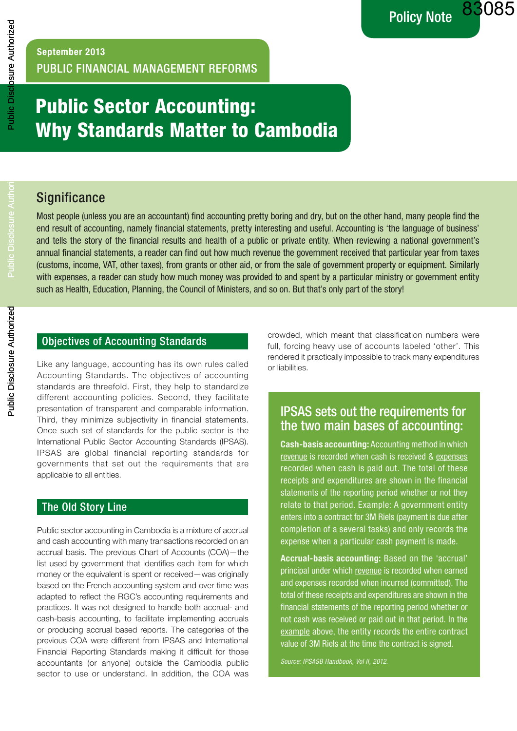# Public Sector Accounting: Why Standards Matter to Cambodia

# **Significance**

Most people (unless you are an accountant) find accounting pretty boring and dry, but on the other hand, many people find the end result of accounting, namely financial statements, pretty interesting and useful. Accounting is 'the language of business' and tells the story of the financial results and health of a public or private entity. When reviewing a national government's annual financial statements, a reader can find out how much revenue the government received that particular year from taxes (customs, income, VAT, other taxes), from grants or other aid, or from the sale of government property or equipment. Similarly with expenses, a reader can study how much money was provided to and spent by a particular ministry or government entity such as Health, Education, Planning, the Council of Ministers, and so on. But that's only part of the story!

## Objectives of Accounting Standards

Like any language, accounting has its own rules called Accounting Standards. The objectives of accounting standards are threefold. First, they help to standardize different accounting policies. Second, they facilitate presentation of transparent and comparable information. Third, they minimize subjectivity in financial statements. Once such set of standards for the public sector is the International Public Sector Accounting Standards (IPSAS). IPSAS are global financial reporting standards for governments that set out the requirements that are applicable to all entities.

## The Old Story Line

Public sector accounting in Cambodia is a mixture of accrual and cash accounting with many transactions recorded on an accrual basis. The previous Chart of Accounts (COA)—the list used by government that identifies each item for which money or the equivalent is spent or received—was originally based on the French accounting system and over time was adapted to reflect the RGC's accounting requirements and practices. It was not designed to handle both accrual- and cash-basis accounting, to facilitate implementing accruals or producing accrual based reports. The categories of the previous COA were different from IPSAS and International Financial Reporting Standards making it difficult for those accountants (or anyone) outside the Cambodia public sector to use or understand. In addition, the COA was

crowded, which meant that classification numbers were full, forcing heavy use of accounts labeled 'other'. This rendered it practically impossible to track many expenditures or liabilities.

## IPSAS sets out the requirements for the two main bases of accounting:

Cash-basis accounting: Accounting method in which revenue is recorded when cash is received & expenses recorded when cash is paid out. The total of these receipts and expenditures are shown in the financial statements of the reporting period whether or not they relate to that period. Example: A government entity enters into a contract for 3M Riels (payment is due after completion of a several tasks) and only records the expense when a particular cash payment is made.

Accrual-basis accounting: Based on the 'accrual' principal under which revenue is recorded when earned and expenses recorded when incurred (committed). The total of these receipts and expenditures are shown in the financial statements of the reporting period whether or not cash was received or paid out in that period. In the example above, the entity records the entire contract value of 3M Riels at the time the contract is signed.

*Source: IPSASB Handbook, Vol II, 2012.*